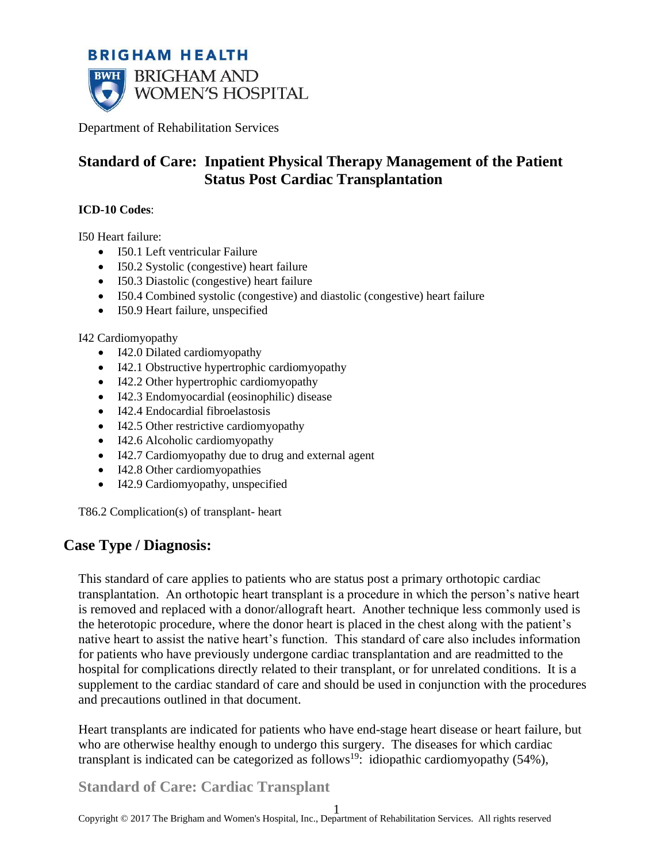# **BRIGHAM HEALTH BWH** BRIGHAM AND WOMEN'S HOSPITAL

Department of Rehabilitation Services

# **Standard of Care: Inpatient Physical Therapy Management of the Patient Status Post Cardiac Transplantation**

#### **ICD-10 Codes**:

I50 Heart failure:

- I50.1 Left ventricular Failure
- I50.2 Systolic (congestive) heart failure
- I50.3 Diastolic (congestive) heart failure
- I50.4 Combined systolic (congestive) and diastolic (congestive) heart failure
- I50.9 Heart failure, unspecified

I42 Cardiomyopathy

- [I42.0](http://www.icd10data.com/ICD10CM/Codes/I00-I99/I30-I52/I42-/I42.0) Dilated cardiomyopathy
- [I42.1](http://www.icd10data.com/ICD10CM/Codes/I00-I99/I30-I52/I42-/I42.1) Obstructive hypertrophic cardiomyopathy
- [I42.2](http://www.icd10data.com/ICD10CM/Codes/I00-I99/I30-I52/I42-/I42.2) Other hypertrophic cardiomyopathy
- [I42.3](http://www.icd10data.com/ICD10CM/Codes/I00-I99/I30-I52/I42-/I42.3) Endomyocardial (eosinophilic) disease
- [I42.4](http://www.icd10data.com/ICD10CM/Codes/I00-I99/I30-I52/I42-/I42.4) Endocardial fibroelastosis
- [I42.5](http://www.icd10data.com/ICD10CM/Codes/I00-I99/I30-I52/I42-/I42.5) Other restrictive cardiomyopathy
- [I42.6](http://www.icd10data.com/ICD10CM/Codes/I00-I99/I30-I52/I42-/I42.6) Alcoholic cardiomyopathy
- [I42.7](http://www.icd10data.com/ICD10CM/Codes/I00-I99/I30-I52/I42-/I42.7) Cardiomyopathy due to drug and external agent
- [I42.8](http://www.icd10data.com/ICD10CM/Codes/I00-I99/I30-I52/I42-/I42.8) Other cardiomyopathies
- [I42.9](http://www.icd10data.com/ICD10CM/Codes/I00-I99/I30-I52/I42-/I42.9) Cardiomyopathy, unspecified

T86.2 Complication(s) of transplant- heart

# **Case Type / Diagnosis:**

This standard of care applies to patients who are status post a primary orthotopic cardiac transplantation. An orthotopic heart transplant is a procedure in which the person's native heart is removed and replaced with a donor/allograft heart. Another technique less commonly used is the heterotopic procedure, where the donor heart is placed in the chest along with the patient's native heart to assist the native heart's function. This standard of care also includes information for patients who have previously undergone cardiac transplantation and are readmitted to the hospital for complications directly related to their transplant, or for unrelated conditions. It is a supplement to the cardiac standard of care and should be used in conjunction with the procedures and precautions outlined in that document.

Heart transplants are indicated for patients who have end-stage heart disease or heart failure, but who are otherwise healthy enough to undergo this surgery. The diseases for which cardiac transplant is indicated can be categorized as follows<sup>19</sup>: idiopathic cardiomyopathy (54%),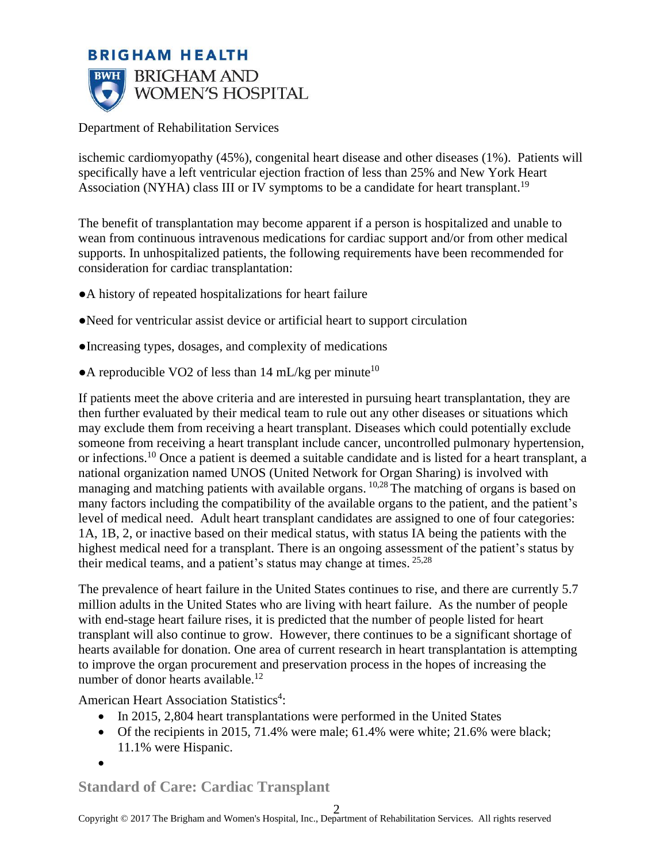

ischemic cardiomyopathy (45%), congenital heart disease and other diseases (1%). Patients will specifically have a left ventricular ejection fraction of less than 25% and New York Heart Association (NYHA) class III or IV symptoms to be a candidate for heart transplant.<sup>19</sup>

The benefit of transplantation may become apparent if a person is hospitalized and unable to wean from continuous intravenous medications for cardiac support and/or from other medical supports. In unhospitalized patients, the following requirements have been recommended for consideration for cardiac transplantation:

- ●A history of repeated hospitalizations for heart failure
- ●Need for ventricular assist device or artificial heart to support circulation
- ●Increasing types, dosages, and complexity of medications
- A reproducible VO2 of less than  $14 \text{ mL/kg}$  per minute<sup>10</sup>

If patients meet the above criteria and are interested in pursuing heart transplantation, they are then further evaluated by their medical team to rule out any other diseases or situations which may exclude them from receiving a heart transplant. Diseases which could potentially exclude someone from receiving a heart transplant include cancer, uncontrolled pulmonary hypertension, or infections.<sup>10</sup> Once a patient is deemed a suitable candidate and is listed for a heart transplant, a national organization named UNOS (United Network for Organ Sharing) is involved with managing and matching patients with available organs. <sup>10,28</sup> The matching of organs is based on many factors including the compatibility of the available organs to the patient, and the patient's level of medical need. Adult heart transplant candidates are assigned to one of four categories: 1A, 1B, 2, or inactive based on their medical status, with status IA being the patients with the highest medical need for a transplant. There is an ongoing assessment of the patient's status by their medical teams, and a patient's status may change at times. 25,28

The prevalence of heart failure in the United States continues to rise, and there are currently 5.7 million adults in the United States who are living with heart failure. As the number of people with end-stage heart failure rises, it is predicted that the number of people listed for heart transplant will also continue to grow. However, there continues to be a significant shortage of hearts available for donation. One area of current research in heart transplantation is attempting to improve the organ procurement and preservation process in the hopes of increasing the number of donor hearts available.<sup>12</sup>

American Heart Association Statistics 4 :

- In 2015, 2,804 heart transplantations were performed in the United States
- Of the recipients in 2015, 71.4% were male; 61.4% were white; 21.6% were black; 11.1% were Hispanic.

•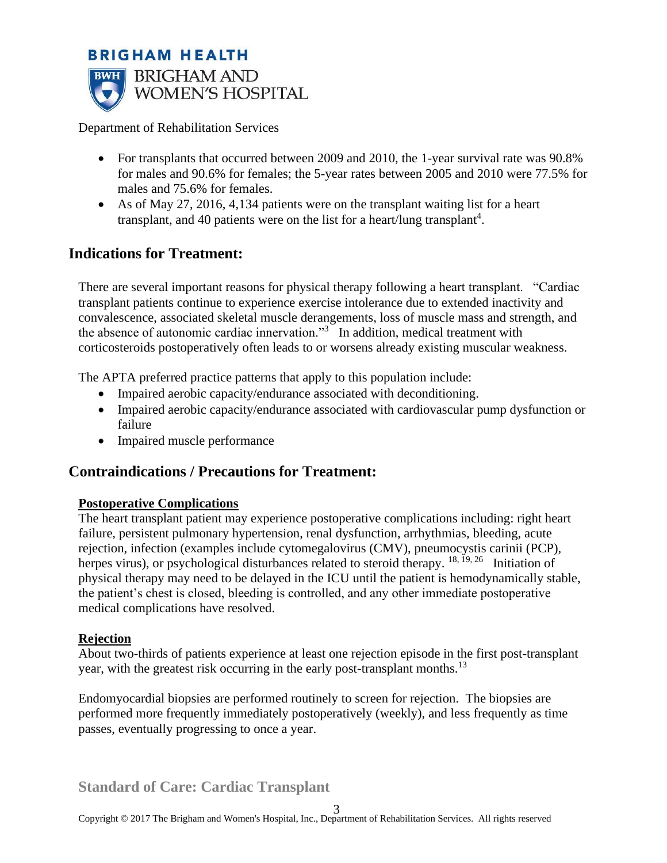

Department of Rehabilitation Services

- For transplants that occurred between 2009 and 2010, the 1-year survival rate was 90.8% for males and 90.6% for females; the 5-year rates between 2005 and 2010 were 77.5% for males and 75.6% for females.
- As of May 27, 2016, 4,134 patients were on the transplant waiting list for a heart transplant, and 40 patients were on the list for a heart/lung transplant<sup>4</sup>.

# **Indications for Treatment:**

There are several important reasons for physical therapy following a heart transplant. "Cardiac transplant patients continue to experience exercise intolerance due to extended inactivity and convalescence, associated skeletal muscle derangements, loss of muscle mass and strength, and the absence of autonomic cardiac innervation."<sup>3</sup> In addition, medical treatment with corticosteroids postoperatively often leads to or worsens already existing muscular weakness.

The APTA preferred practice patterns that apply to this population include:

- Impaired aerobic capacity/endurance associated with deconditioning.
- Impaired aerobic capacity/endurance associated with cardiovascular pump dysfunction or failure
- Impaired muscle performance

## **Contraindications / Precautions for Treatment:**

#### **Postoperative Complications**

The heart transplant patient may experience postoperative complications including: right heart failure, persistent pulmonary hypertension, renal dysfunction, arrhythmias, bleeding, acute rejection, infection (examples include cytomegalovirus (CMV), pneumocystis carinii (PCP), herpes virus), or psychological disturbances related to steroid therapy. <sup>18, 19, 26</sup> Initiation of physical therapy may need to be delayed in the ICU until the patient is hemodynamically stable, the patient's chest is closed, bleeding is controlled, and any other immediate postoperative medical complications have resolved.

#### **Rejection**

About two-thirds of patients experience at least one rejection episode in the first post-transplant year, with the greatest risk occurring in the early post-transplant months.<sup>13</sup>

Endomyocardial biopsies are performed routinely to screen for rejection. The biopsies are performed more frequently immediately postoperatively (weekly), and less frequently as time passes, eventually progressing to once a year.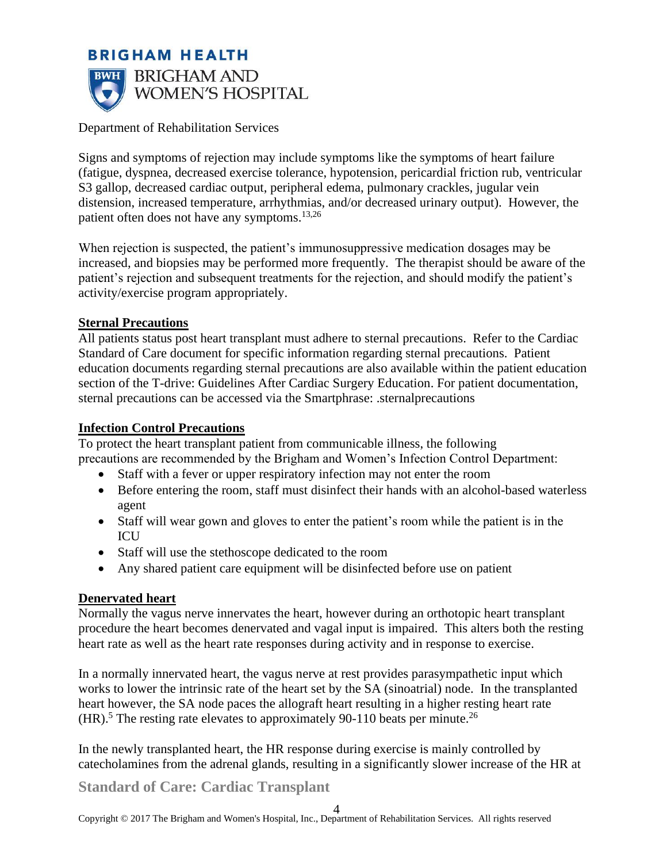

Signs and symptoms of rejection may include symptoms like the symptoms of heart failure (fatigue, dyspnea, decreased exercise tolerance, hypotension, pericardial friction rub, ventricular S3 gallop, decreased cardiac output, peripheral edema, pulmonary crackles, jugular vein distension, increased temperature, arrhythmias, and/or decreased urinary output). However, the patient often does not have any symptoms.13,26

When rejection is suspected, the patient's immunosuppressive medication dosages may be increased, and biopsies may be performed more frequently. The therapist should be aware of the patient's rejection and subsequent treatments for the rejection, and should modify the patient's activity/exercise program appropriately.

### **Sternal Precautions**

All patients status post heart transplant must adhere to sternal precautions. Refer to the Cardiac Standard of Care document for specific information regarding sternal precautions. Patient education documents regarding sternal precautions are also available within the patient education section of the T-drive: Guidelines After Cardiac Surgery Education. For patient documentation, sternal precautions can be accessed via the Smartphrase: .sternalprecautions

#### **Infection Control Precautions**

To protect the heart transplant patient from communicable illness, the following precautions are recommended by the Brigham and Women's Infection Control Department:

- Staff with a fever or upper respiratory infection may not enter the room
- Before entering the room, staff must disinfect their hands with an alcohol-based waterless agent
- Staff will wear gown and gloves to enter the patient's room while the patient is in the **ICU**
- Staff will use the stethoscope dedicated to the room
- Any shared patient care equipment will be disinfected before use on patient

#### **Denervated heart**

Normally the vagus nerve innervates the heart, however during an orthotopic heart transplant procedure the heart becomes denervated and vagal input is impaired. This alters both the resting heart rate as well as the heart rate responses during activity and in response to exercise.

In a normally innervated heart, the vagus nerve at rest provides parasympathetic input which works to lower the intrinsic rate of the heart set by the SA (sinoatrial) node. In the transplanted heart however, the SA node paces the allograft heart resulting in a higher resting heart rate  $(HR)$ <sup>5</sup>. The resting rate elevates to approximately 90-110 beats per minute.<sup>26</sup>

In the newly transplanted heart, the HR response during exercise is mainly controlled by catecholamines from the adrenal glands, resulting in a significantly slower increase of the HR at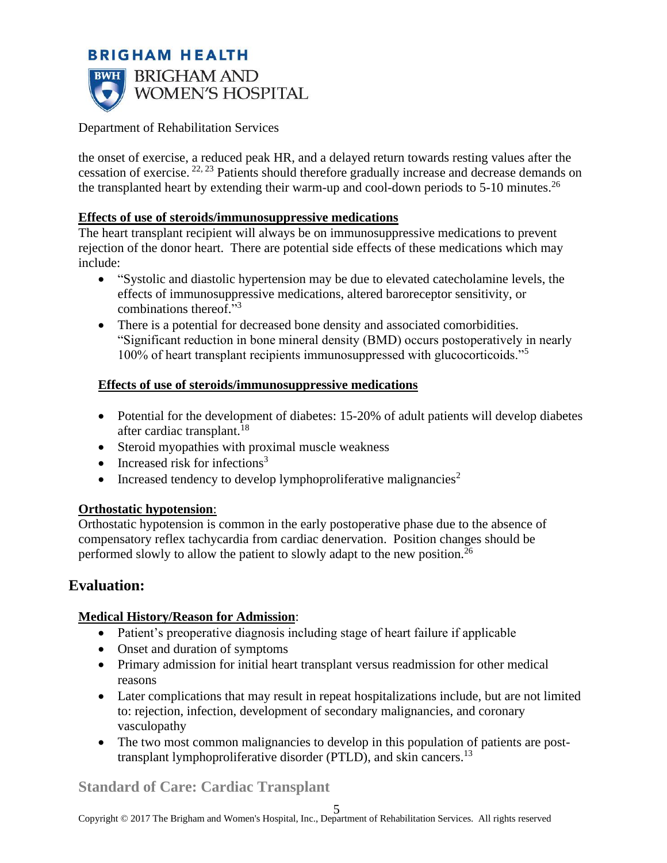

the onset of exercise, a reduced peak HR, and a delayed return towards resting values after the cessation of exercise. 22, 23 Patients should therefore gradually increase and decrease demands on the transplanted heart by extending their warm-up and cool-down periods to  $5\text{-}10$  minutes.<sup>26</sup>

### **Effects of use of steroids/immunosuppressive medications**

The heart transplant recipient will always be on immunosuppressive medications to prevent rejection of the donor heart. There are potential side effects of these medications which may include:

- "Systolic and diastolic hypertension may be due to elevated catecholamine levels, the effects of immunosuppressive medications, altered baroreceptor sensitivity, or combinations thereof."<sup>3</sup>
- There is a potential for decreased bone density and associated comorbidities. "Significant reduction in bone mineral density (BMD) occurs postoperatively in nearly 100% of heart transplant recipients immunosuppressed with glucocorticoids."<sup>5</sup>

### **Effects of use of steroids/immunosuppressive medications**

- Potential for the development of diabetes: 15-20% of adult patients will develop diabetes after cardiac transplant.<sup>18</sup>
- Steroid myopathies with proximal muscle weakness
- Increased risk for infections<sup>3</sup>
- Increased tendency to develop lymphoproliferative malignancies<sup>2</sup>

### **Orthostatic hypotension**:

Orthostatic hypotension is common in the early postoperative phase due to the absence of compensatory reflex tachycardia from cardiac denervation. Position changes should be performed slowly to allow the patient to slowly adapt to the new position.<sup>26</sup>

# **Evaluation:**

## **Medical History/Reason for Admission**:

- Patient's preoperative diagnosis including stage of heart failure if applicable
- Onset and duration of symptoms
- Primary admission for initial heart transplant versus readmission for other medical reasons
- Later complications that may result in repeat hospitalizations include, but are not limited to: rejection, infection, development of secondary malignancies, and coronary vasculopathy
- The two most common malignancies to develop in this population of patients are posttransplant lymphoproliferative disorder (PTLD), and skin cancers.<sup>13</sup>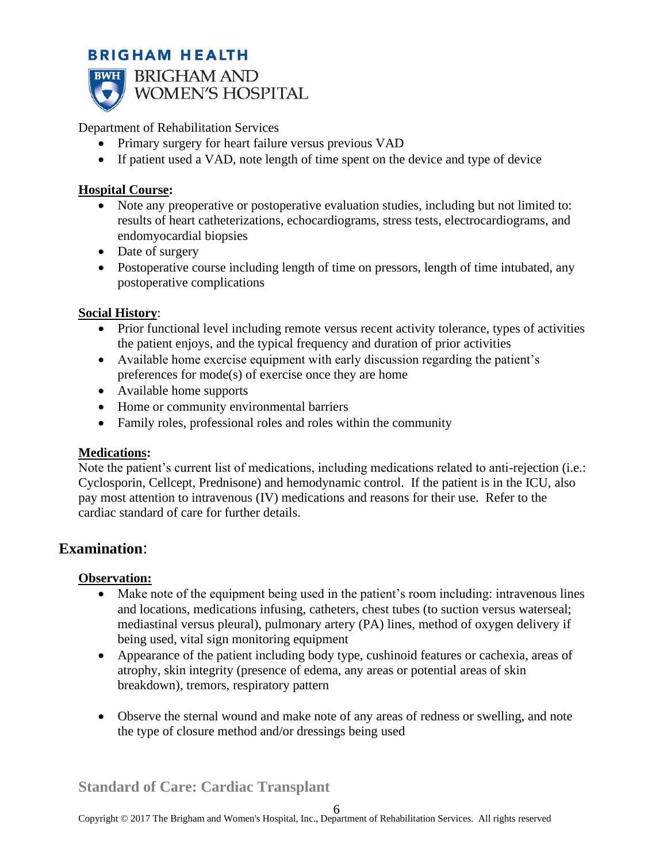

**BWH** BRIGHAM AND WOMEN'S HOSPITAL

Department of Rehabilitation Services

- Primary surgery for heart failure versus previous VAD
- If patient used a VAD, note length of time spent on the device and type of device

## **Hospital Course:**

- Note any preoperative or postoperative evaluation studies, including but not limited to: results of heart catheterizations, echocardiograms, stress tests, electrocardiograms, and endomyocardial biopsies
- Date of surgery
- Postoperative course including length of time on pressors, length of time intubated, any postoperative complications

## **Social History**:

- Prior functional level including remote versus recent activity tolerance, types of activities the patient enjoys, and the typical frequency and duration of prior activities
- Available home exercise equipment with early discussion regarding the patient's preferences for mode(s) of exercise once they are home
- Available home supports
- Home or community environmental barriers
- Family roles, professional roles and roles within the community

## **Medications:**

Note the patient's current list of medications, including medications related to anti-rejection (i.e.: Cyclosporin, Cellcept, Prednisone) and hemodynamic control. If the patient is in the ICU, also pay most attention to intravenous (IV) medications and reasons for their use. Refer to the cardiac standard of care for further details.

# **Examination**:

## **Observation:**

- Make note of the equipment being used in the patient's room including: intravenous lines and locations, medications infusing, catheters, chest tubes (to suction versus waterseal; mediastinal versus pleural), pulmonary artery (PA) lines, method of oxygen delivery if being used, vital sign monitoring equipment
- Appearance of the patient including body type, cushinoid features or cachexia, areas of atrophy, skin integrity (presence of edema, any areas or potential areas of skin breakdown), tremors, respiratory pattern
- Observe the sternal wound and make note of any areas of redness or swelling, and note the type of closure method and/or dressings being used

**Standard of Care: Cardiac Transplant**

6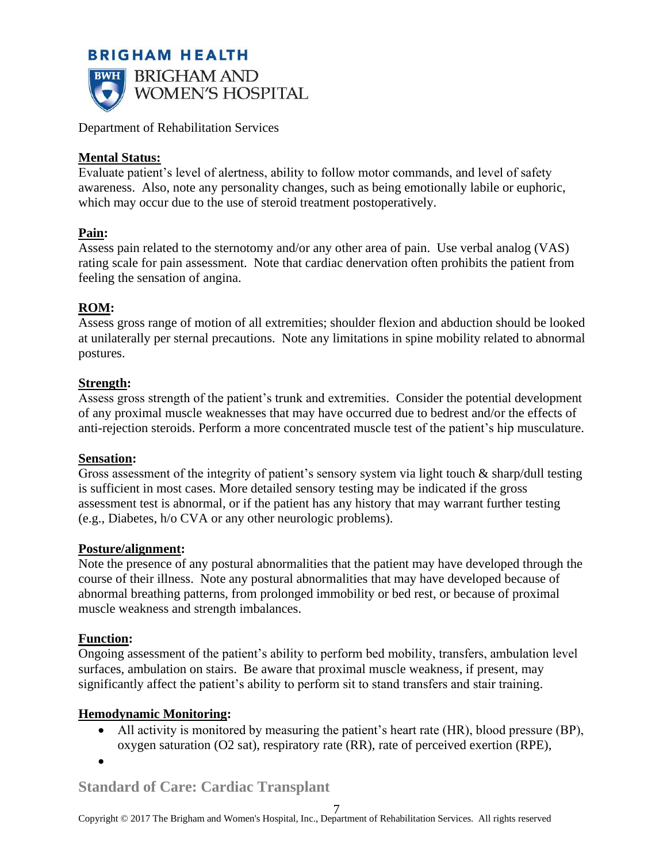

Department of Rehabilitation Services

## **Mental Status:**

Evaluate patient's level of alertness, ability to follow motor commands, and level of safety awareness. Also, note any personality changes, such as being emotionally labile or euphoric, which may occur due to the use of steroid treatment postoperatively.

## **Pain:**

Assess pain related to the sternotomy and/or any other area of pain. Use verbal analog (VAS) rating scale for pain assessment. Note that cardiac denervation often prohibits the patient from feeling the sensation of angina.

## **ROM:**

Assess gross range of motion of all extremities; shoulder flexion and abduction should be looked at unilaterally per sternal precautions. Note any limitations in spine mobility related to abnormal postures.

## **Strength:**

Assess gross strength of the patient's trunk and extremities. Consider the potential development of any proximal muscle weaknesses that may have occurred due to bedrest and/or the effects of anti-rejection steroids. Perform a more concentrated muscle test of the patient's hip musculature.

### **Sensation:**

Gross assessment of the integrity of patient's sensory system via light touch & sharp/dull testing is sufficient in most cases. More detailed sensory testing may be indicated if the gross assessment test is abnormal, or if the patient has any history that may warrant further testing (e.g., Diabetes, h/o CVA or any other neurologic problems).

### **Posture/alignment:**

Note the presence of any postural abnormalities that the patient may have developed through the course of their illness. Note any postural abnormalities that may have developed because of abnormal breathing patterns, from prolonged immobility or bed rest, or because of proximal muscle weakness and strength imbalances.

### **Function:**

Ongoing assessment of the patient's ability to perform bed mobility, transfers, ambulation level surfaces, ambulation on stairs. Be aware that proximal muscle weakness, if present, may significantly affect the patient's ability to perform sit to stand transfers and stair training.

## **Hemodynamic Monitoring:**

• All activity is monitored by measuring the patient's heart rate (HR), blood pressure (BP), oxygen saturation (O2 sat), respiratory rate (RR), rate of perceived exertion (RPE),

•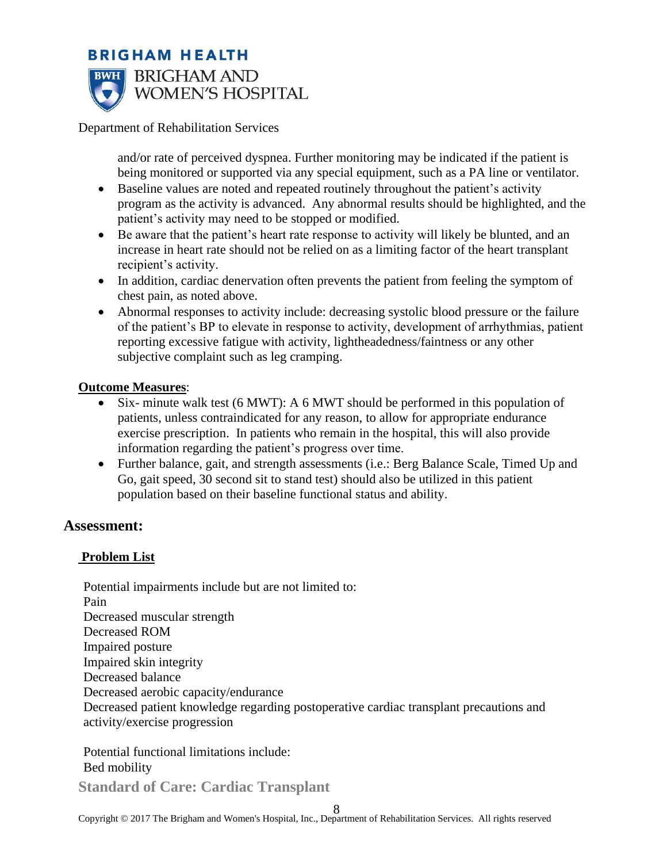

Department of Rehabilitation Services

and/or rate of perceived dyspnea. Further monitoring may be indicated if the patient is being monitored or supported via any special equipment, such as a PA line or ventilator.

- Baseline values are noted and repeated routinely throughout the patient's activity program as the activity is advanced. Any abnormal results should be highlighted, and the patient's activity may need to be stopped or modified.
- Be aware that the patient's heart rate response to activity will likely be blunted, and an increase in heart rate should not be relied on as a limiting factor of the heart transplant recipient's activity.
- In addition, cardiac denervation often prevents the patient from feeling the symptom of chest pain, as noted above.
- Abnormal responses to activity include: decreasing systolic blood pressure or the failure of the patient's BP to elevate in response to activity, development of arrhythmias, patient reporting excessive fatigue with activity, lightheadedness/faintness or any other subjective complaint such as leg cramping.

### **Outcome Measures**:

- Six- minute walk test (6 MWT): A 6 MWT should be performed in this population of patients, unless contraindicated for any reason, to allow for appropriate endurance exercise prescription. In patients who remain in the hospital, this will also provide information regarding the patient's progress over time.
- Further balance, gait, and strength assessments (i.e.: Berg Balance Scale, Timed Up and Go, gait speed, 30 second sit to stand test) should also be utilized in this patient population based on their baseline functional status and ability.

### **Assessment:**

### **Problem List**

Potential impairments include but are not limited to: Pain Decreased muscular strength Decreased ROM Impaired posture Impaired skin integrity Decreased balance Decreased aerobic capacity/endurance Decreased patient knowledge regarding postoperative cardiac transplant precautions and activity/exercise progression

Potential functional limitations include: Bed mobility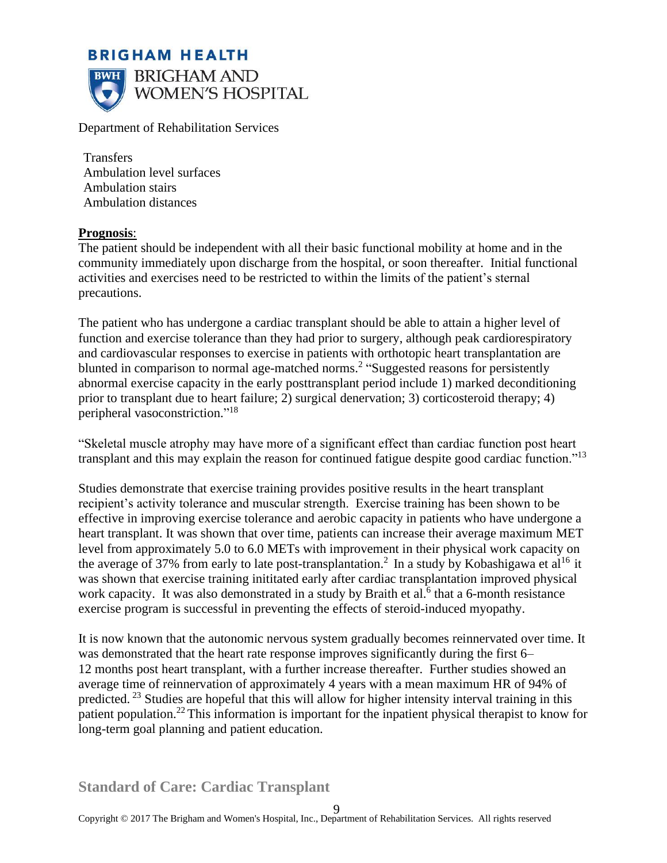

Department of Rehabilitation Services

Transfers Ambulation level surfaces Ambulation stairs Ambulation distances

#### **Prognosis**:

The patient should be independent with all their basic functional mobility at home and in the community immediately upon discharge from the hospital, or soon thereafter. Initial functional activities and exercises need to be restricted to within the limits of the patient's sternal precautions.

The patient who has undergone a cardiac transplant should be able to attain a higher level of function and exercise tolerance than they had prior to surgery, although peak cardiorespiratory and cardiovascular responses to exercise in patients with orthotopic heart transplantation are blunted in comparison to normal age-matched norms.<sup>2</sup> "Suggested reasons for persistently abnormal exercise capacity in the early posttransplant period include 1) marked deconditioning prior to transplant due to heart failure; 2) surgical denervation; 3) corticosteroid therapy; 4) peripheral vasoconstriction."<sup>18</sup>

"Skeletal muscle atrophy may have more of a significant effect than cardiac function post heart transplant and this may explain the reason for continued fatigue despite good cardiac function."<sup>13</sup>

Studies demonstrate that exercise training provides positive results in the heart transplant recipient's activity tolerance and muscular strength. Exercise training has been shown to be effective in improving exercise tolerance and aerobic capacity in patients who have undergone a heart transplant. It was shown that over time, patients can increase their average maximum MET level from approximately 5.0 to 6.0 METs with improvement in their physical work capacity on the average of 37% from early to late post-transplantation.<sup>2</sup> In a study by Kobashigawa et al<sup>16</sup> it was shown that exercise training inititated early after cardiac transplantation improved physical work capacity. It was also demonstrated in a study by Braith et al. $<sup>6</sup>$  that a 6-month resistance</sup> exercise program is successful in preventing the effects of steroid-induced myopathy.

It is now known that the autonomic nervous system gradually becomes reinnervated over time. It was demonstrated that the heart rate response improves significantly during the first 6– 12 months post heart transplant, with a further increase thereafter. Further studies showed an average time of reinnervation of approximately 4 years with a mean maximum HR of 94% of predicted. <sup>23</sup> Studies are hopeful that this will allow for higher intensity interval training in this patient population.<sup>22</sup> This information is important for the inpatient physical therapist to know for long-term goal planning and patient education.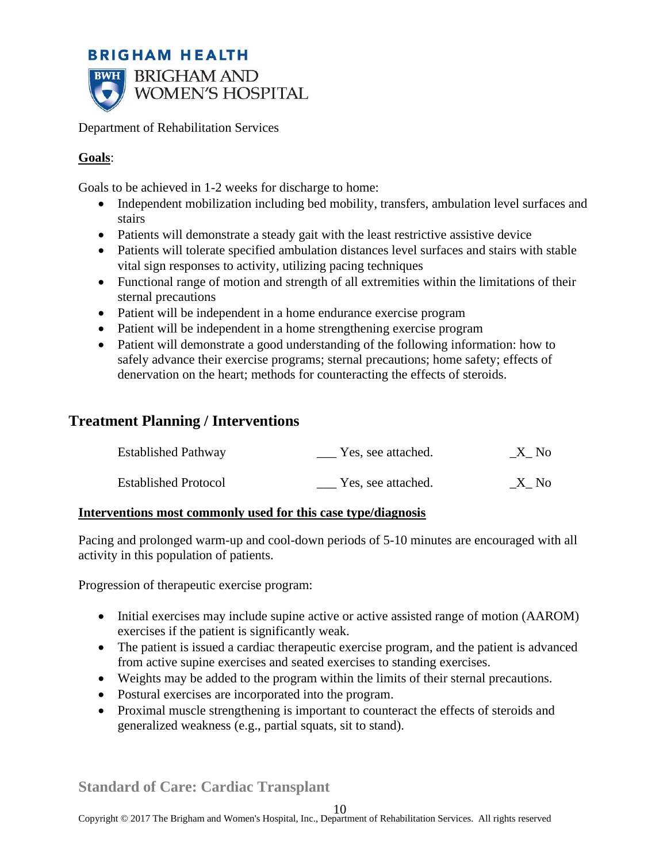

Department of Rehabilitation Services

## **Goals**:

Goals to be achieved in 1-2 weeks for discharge to home:

- Independent mobilization including bed mobility, transfers, ambulation level surfaces and stairs
- Patients will demonstrate a steady gait with the least restrictive assistive device
- Patients will tolerate specified ambulation distances level surfaces and stairs with stable vital sign responses to activity, utilizing pacing techniques
- Functional range of motion and strength of all extremities within the limitations of their sternal precautions
- Patient will be independent in a home endurance exercise program
- Patient will be independent in a home strengthening exercise program
- Patient will demonstrate a good understanding of the following information: how to safely advance their exercise programs; sternal precautions; home safety; effects of denervation on the heart; methods for counteracting the effects of steroids.

# **Treatment Planning / Interventions**

| <b>Established Pathway</b>  | Yes, see attached. | $\_X\_No$ |
|-----------------------------|--------------------|-----------|
| <b>Established Protocol</b> | Yes, see attached. | X No      |

### **Interventions most commonly used for this case type/diagnosis**

Pacing and prolonged warm-up and cool-down periods of 5-10 minutes are encouraged with all activity in this population of patients.

Progression of therapeutic exercise program:

- Initial exercises may include supine active or active assisted range of motion (AAROM) exercises if the patient is significantly weak.
- The patient is issued a cardiac therapeutic exercise program, and the patient is advanced from active supine exercises and seated exercises to standing exercises.
- Weights may be added to the program within the limits of their sternal precautions.
- Postural exercises are incorporated into the program.
- Proximal muscle strengthening is important to counteract the effects of steroids and generalized weakness (e.g., partial squats, sit to stand).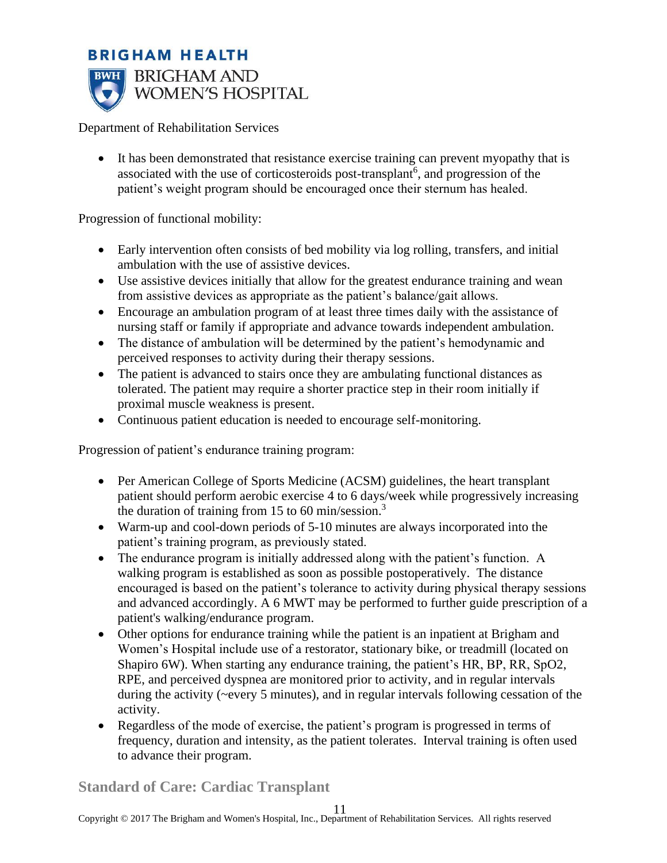# **BRIGHAM HEALTH BWH** BRIGHAM AND WOMEN'S HOSPITAL

Department of Rehabilitation Services

It has been demonstrated that resistance exercise training can prevent myopathy that is associated with the use of corticosteroids post-transplant<sup>6</sup>, and progression of the patient's weight program should be encouraged once their sternum has healed.

Progression of functional mobility:

- Early intervention often consists of bed mobility via log rolling, transfers, and initial ambulation with the use of assistive devices.
- Use assistive devices initially that allow for the greatest endurance training and wean from assistive devices as appropriate as the patient's balance/gait allows.
- Encourage an ambulation program of at least three times daily with the assistance of nursing staff or family if appropriate and advance towards independent ambulation.
- The distance of ambulation will be determined by the patient's hemodynamic and perceived responses to activity during their therapy sessions.
- The patient is advanced to stairs once they are ambulating functional distances as tolerated. The patient may require a shorter practice step in their room initially if proximal muscle weakness is present.
- Continuous patient education is needed to encourage self-monitoring.

Progression of patient's endurance training program:

- Per American College of Sports Medicine (ACSM) guidelines, the heart transplant patient should perform aerobic exercise 4 to 6 days/week while progressively increasing the duration of training from 15 to 60 min/session.<sup>3</sup>
- Warm-up and cool-down periods of 5-10 minutes are always incorporated into the patient's training program, as previously stated.
- The endurance program is initially addressed along with the patient's function. A walking program is established as soon as possible postoperatively. The distance encouraged is based on the patient's tolerance to activity during physical therapy sessions and advanced accordingly. A 6 MWT may be performed to further guide prescription of a patient's walking/endurance program.
- Other options for endurance training while the patient is an inpatient at Brigham and Women's Hospital include use of a restorator, stationary bike, or treadmill (located on Shapiro 6W). When starting any endurance training, the patient's HR, BP, RR, SpO2, RPE, and perceived dyspnea are monitored prior to activity, and in regular intervals during the activity (~every 5 minutes), and in regular intervals following cessation of the activity.
- Regardless of the mode of exercise, the patient's program is progressed in terms of frequency, duration and intensity, as the patient tolerates. Interval training is often used to advance their program.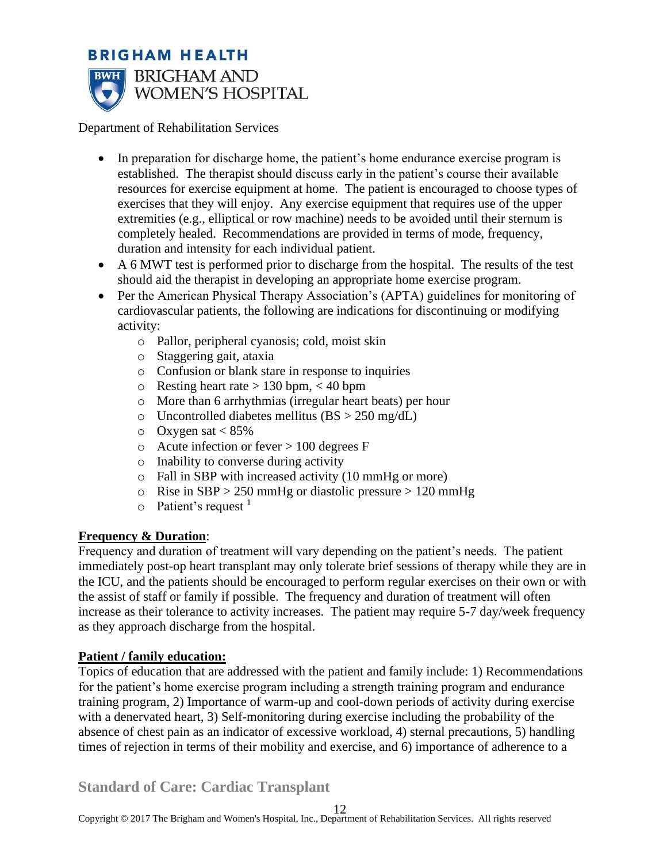

Department of Rehabilitation Services

- In preparation for discharge home, the patient's home endurance exercise program is established. The therapist should discuss early in the patient's course their available resources for exercise equipment at home. The patient is encouraged to choose types of exercises that they will enjoy. Any exercise equipment that requires use of the upper extremities (e.g., elliptical or row machine) needs to be avoided until their sternum is completely healed. Recommendations are provided in terms of mode, frequency, duration and intensity for each individual patient.
- A 6 MWT test is performed prior to discharge from the hospital. The results of the test should aid the therapist in developing an appropriate home exercise program.
- Per the American Physical Therapy Association's (APTA) guidelines for monitoring of cardiovascular patients, the following are indications for discontinuing or modifying activity:
	- o Pallor, peripheral cyanosis; cold, moist skin
	- o Staggering gait, ataxia
	- o Confusion or blank stare in response to inquiries
	- $\circ$  Resting heart rate  $> 130$  bpm,  $< 40$  bpm
	- o More than 6 arrhythmias (irregular heart beats) per hour
	- $\circ$  Uncontrolled diabetes mellitus (BS  $>$  250 mg/dL)
	- $\circ$  Oxygen sat < 85%
	- $\circ$  Acute infection or fever  $> 100$  degrees F
	- o Inability to converse during activity
	- o Fall in SBP with increased activity (10 mmHg or more)
	- $\circ$  Rise in SBP > 250 mmHg or diastolic pressure > 120 mmHg
	- $\circ$  Patient's request <sup>1</sup>

## **Frequency & Duration**:

Frequency and duration of treatment will vary depending on the patient's needs. The patient immediately post-op heart transplant may only tolerate brief sessions of therapy while they are in the ICU, and the patients should be encouraged to perform regular exercises on their own or with the assist of staff or family if possible. The frequency and duration of treatment will often increase as their tolerance to activity increases. The patient may require 5-7 day/week frequency as they approach discharge from the hospital.

### **Patient / family education:**

Topics of education that are addressed with the patient and family include: 1) Recommendations for the patient's home exercise program including a strength training program and endurance training program, 2) Importance of warm-up and cool-down periods of activity during exercise with a denervated heart, 3) Self-monitoring during exercise including the probability of the absence of chest pain as an indicator of excessive workload, 4) sternal precautions, 5) handling times of rejection in terms of their mobility and exercise, and 6) importance of adherence to a

# **Standard of Care: Cardiac Transplant**

12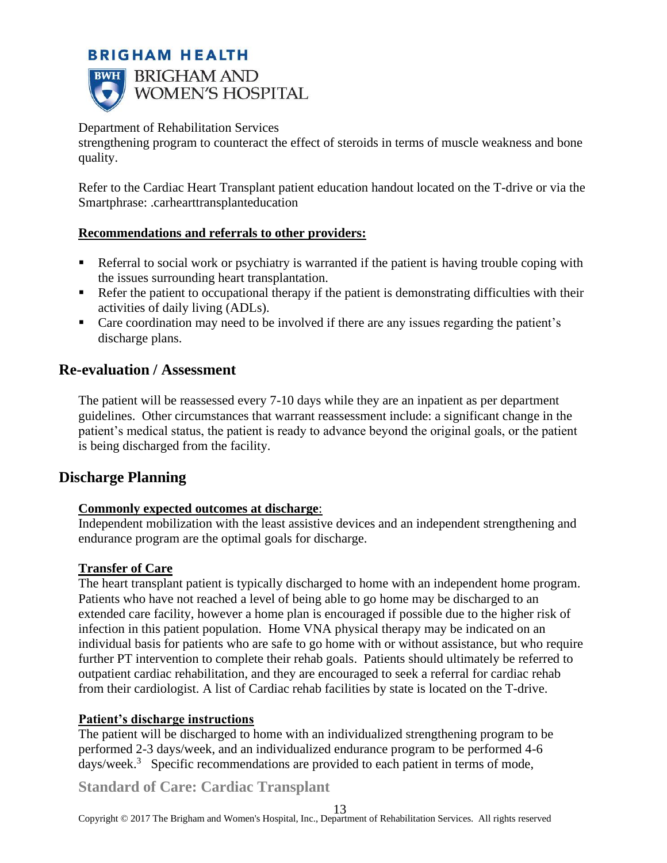

Department of Rehabilitation Services

strengthening program to counteract the effect of steroids in terms of muscle weakness and bone quality.

Refer to the Cardiac Heart Transplant patient education handout located on the T-drive or via the Smartphrase: .carhearttransplanteducation

### **Recommendations and referrals to other providers:**

- Referral to social work or psychiatry is warranted if the patient is having trouble coping with the issues surrounding heart transplantation.
- Refer the patient to occupational therapy if the patient is demonstrating difficulties with their activities of daily living (ADLs).
- Care coordination may need to be involved if there are any issues regarding the patient's discharge plans.

# **Re-evaluation / Assessment**

The patient will be reassessed every 7-10 days while they are an inpatient as per department guidelines. Other circumstances that warrant reassessment include: a significant change in the patient's medical status, the patient is ready to advance beyond the original goals, or the patient is being discharged from the facility.

# **Discharge Planning**

## **Commonly expected outcomes at discharge**:

Independent mobilization with the least assistive devices and an independent strengthening and endurance program are the optimal goals for discharge.

### **Transfer of Care**

The heart transplant patient is typically discharged to home with an independent home program. Patients who have not reached a level of being able to go home may be discharged to an extended care facility, however a home plan is encouraged if possible due to the higher risk of infection in this patient population. Home VNA physical therapy may be indicated on an individual basis for patients who are safe to go home with or without assistance, but who require further PT intervention to complete their rehab goals. Patients should ultimately be referred to outpatient cardiac rehabilitation, and they are encouraged to seek a referral for cardiac rehab from their cardiologist. A list of Cardiac rehab facilities by state is located on the T-drive.

## **Patient's discharge instructions**

The patient will be discharged to home with an individualized strengthening program to be performed 2-3 days/week, and an individualized endurance program to be performed 4-6 days/week.<sup>3</sup> Specific recommendations are provided to each patient in terms of mode,

**Standard of Care: Cardiac Transplant**

Copyright © 2017 The Brigham and Women's Hospital, Inc., Department of Rehabilitation Services. All rights reserved 13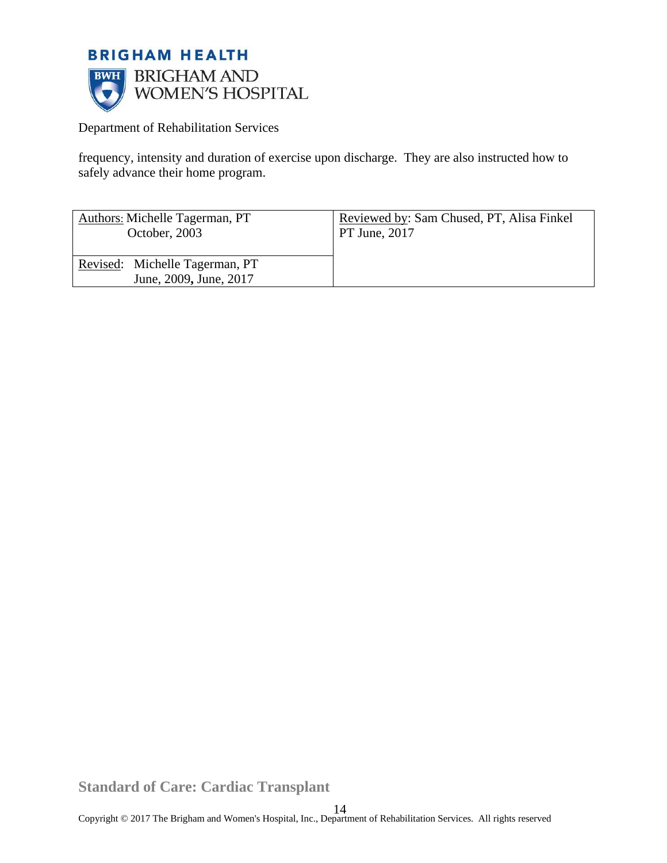

frequency, intensity and duration of exercise upon discharge. They are also instructed how to safely advance their home program.

| Authors: Michelle Tagerman, PT                           | Reviewed by: Sam Chused, PT, Alisa Finkel |
|----------------------------------------------------------|-------------------------------------------|
| October, 2003                                            | <b>PT June, 2017</b>                      |
| Revised: Michelle Tagerman, PT<br>June, 2009, June, 2017 |                                           |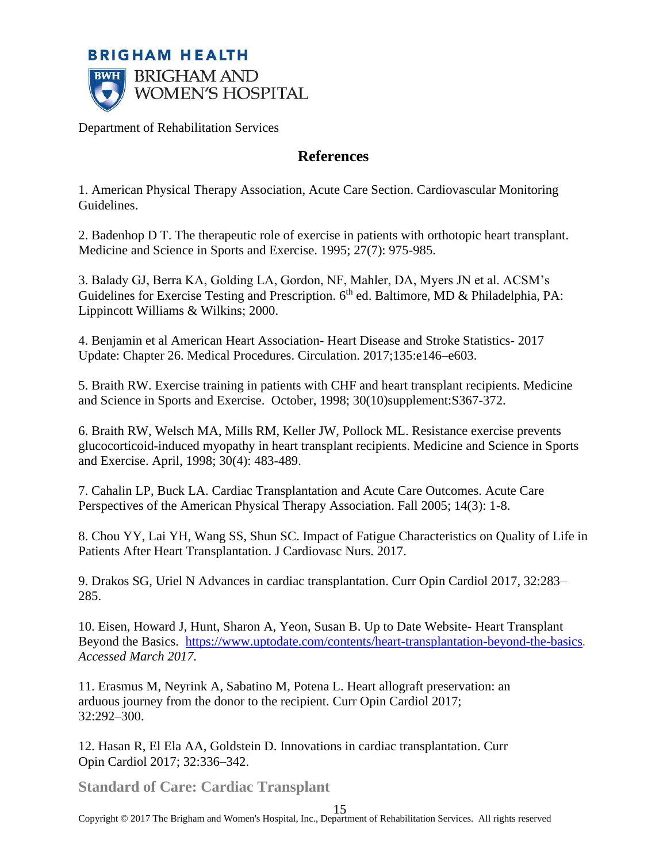

## **References**

1. American Physical Therapy Association, Acute Care Section. Cardiovascular Monitoring Guidelines.

2. Badenhop D T. The therapeutic role of exercise in patients with orthotopic heart transplant. Medicine and Science in Sports and Exercise. 1995; 27(7): 975-985.

3. Balady GJ, Berra KA, Golding LA, Gordon, NF, Mahler, DA, Myers JN et al. ACSM's Guidelines for Exercise Testing and Prescription.  $6<sup>th</sup>$  ed. Baltimore, MD & Philadelphia, PA: Lippincott Williams & Wilkins; 2000.

4. Benjamin et al American Heart Association- Heart Disease and Stroke Statistics- 2017 Update: Chapter 26. Medical Procedures. Circulation. 2017;135:e146–e603.

5. Braith RW. Exercise training in patients with CHF and heart transplant recipients. Medicine and Science in Sports and Exercise. October, 1998; 30(10)supplement:S367-372.

6. Braith RW, Welsch MA, Mills RM, Keller JW, Pollock ML. Resistance exercise prevents glucocorticoid-induced myopathy in heart transplant recipients. Medicine and Science in Sports and Exercise. April, 1998; 30(4): 483-489.

7. Cahalin LP, Buck LA. Cardiac Transplantation and Acute Care Outcomes. Acute Care Perspectives of the American Physical Therapy Association. Fall 2005; 14(3): 1-8.

8. Chou YY, Lai YH, Wang SS, Shun SC. Impact of Fatigue Characteristics on Quality of Life in Patients After Heart Transplantation. J Cardiovasc Nurs. 2017.

9. Drakos SG, Uriel N Advances in cardiac transplantation. Curr Opin Cardiol 2017, 32:283– 285.

10. Eisen, Howard J, Hunt, Sharon A, Yeon, Susan B. Up to Date Website- Heart Transplant Beyond the Basics. <https://www.uptodate.com/contents/heart-transplantation-beyond-the-basics>*. Accessed March 2017.*

11. Erasmus M, Neyrink A, Sabatino M, Potena L. Heart allograft preservation: an arduous journey from the donor to the recipient. Curr Opin Cardiol 2017; 32:292–300.

12. Hasan R, El Ela AA, Goldstein D. Innovations in cardiac transplantation. Curr Opin Cardiol 2017; 32:336–342.

**Standard of Care: Cardiac Transplant**

Copyright © 2017 The Brigham and Women's Hospital, Inc., Department of Rehabilitation Services. All rights reserved 15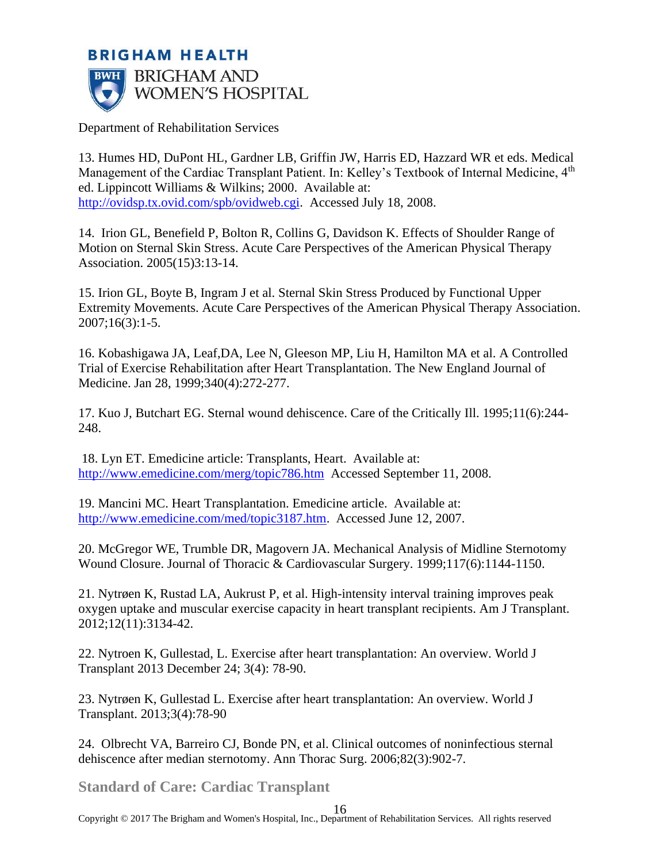## **BRIGHAM HEALTH BRIGHAM AND BWH WOMEN'S HOSPITAL**

Department of Rehabilitation Services

13. Humes HD, DuPont HL, Gardner LB, Griffin JW, Harris ED, Hazzard WR et eds. Medical Management of the Cardiac Transplant Patient. In: Kelley's Textbook of Internal Medicine, 4<sup>th</sup> ed. Lippincott Williams & Wilkins; 2000. Available at: [http://ovidsp.tx.ovid.com/spb/ovidweb.cgi.](http://ovidsp.tx.ovid.com/spb/ovidweb.cgi) Accessed July 18, 2008.

14. Irion GL, Benefield P, Bolton R, Collins G, Davidson K. Effects of Shoulder Range of Motion on Sternal Skin Stress. Acute Care Perspectives of the American Physical Therapy Association. 2005(15)3:13-14.

15. Irion GL, Boyte B, Ingram J et al. Sternal Skin Stress Produced by Functional Upper Extremity Movements. Acute Care Perspectives of the American Physical Therapy Association. 2007;16(3):1-5.

16. Kobashigawa JA, Leaf,DA, Lee N, Gleeson MP, Liu H, Hamilton MA et al. A Controlled Trial of Exercise Rehabilitation after Heart Transplantation. The New England Journal of Medicine. Jan 28, 1999;340(4):272-277.

17. Kuo J, Butchart EG. Sternal wound dehiscence. Care of the Critically Ill. 1995;11(6):244- 248.

18. Lyn ET. Emedicine article: Transplants, Heart. Available at: <http://www.emedicine.com/merg/topic786.htm>Accessed September 11, 2008.

19. Mancini MC. Heart Transplantation. Emedicine article. Available at: [http://www.emedicine.com/med/topic3187.htm.](http://www.emedicine.com/med/topic3187.htm) Accessed June 12, 2007.

20. McGregor WE, Trumble DR, Magovern JA. Mechanical Analysis of Midline Sternotomy Wound Closure. Journal of Thoracic & Cardiovascular Surgery. 1999;117(6):1144-1150.

21. Nytrøen K, Rustad LA, Aukrust P, et al. High-intensity interval training improves peak oxygen uptake and muscular exercise capacity in heart transplant recipients. Am J Transplant. 2012;12(11):3134-42.

22. Nytroen K, Gullestad, L. Exercise after heart transplantation: An overview. World J Transplant 2013 December 24; 3(4): 78-90.

23. Nytrøen K, Gullestad L. Exercise after heart transplantation: An overview. World J Transplant. 2013;3(4):78-90

24. Olbrecht VA, Barreiro CJ, Bonde PN, et al. Clinical outcomes of noninfectious sternal dehiscence after median sternotomy. Ann Thorac Surg. 2006;82(3):902-7.

**Standard of Care: Cardiac Transplant**

Copyright © 2017 The Brigham and Women's Hospital, Inc., Department of Rehabilitation Services. All rights reserved 16